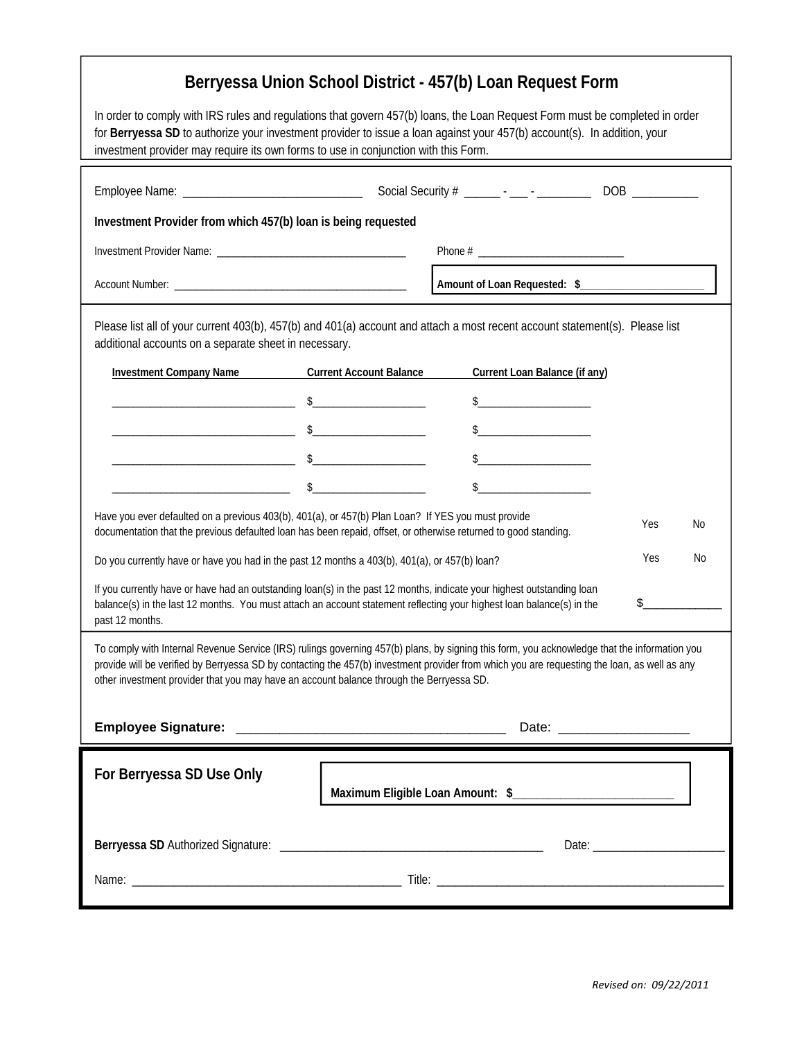| Berryessa Union School District - 457(b) Loan Request Form                                                                                                                                                                                                                                                                                                                               |  |                                                                                                                                                                                                                                                                                                                                                                     |            |    |
|------------------------------------------------------------------------------------------------------------------------------------------------------------------------------------------------------------------------------------------------------------------------------------------------------------------------------------------------------------------------------------------|--|---------------------------------------------------------------------------------------------------------------------------------------------------------------------------------------------------------------------------------------------------------------------------------------------------------------------------------------------------------------------|------------|----|
| In order to comply with IRS rules and regulations that govern 457(b) loans, the Loan Request Form must be completed in order<br>for Berryessa SD to authorize your investment provider to issue a loan against your 457(b) account(s). In addition, your<br>investment provider may require its own forms to use in conjunction with this Form.                                          |  |                                                                                                                                                                                                                                                                                                                                                                     |            |    |
|                                                                                                                                                                                                                                                                                                                                                                                          |  |                                                                                                                                                                                                                                                                                                                                                                     |            |    |
| Investment Provider from which 457(b) loan is being requested                                                                                                                                                                                                                                                                                                                            |  |                                                                                                                                                                                                                                                                                                                                                                     |            |    |
|                                                                                                                                                                                                                                                                                                                                                                                          |  |                                                                                                                                                                                                                                                                                                                                                                     |            |    |
|                                                                                                                                                                                                                                                                                                                                                                                          |  | Amount of Loan Requested: \$                                                                                                                                                                                                                                                                                                                                        |            |    |
| Please list all of your current 403(b), 457(b) and 401(a) account and attach a most recent account statement(s). Please list<br>additional accounts on a separate sheet in necessary.                                                                                                                                                                                                    |  |                                                                                                                                                                                                                                                                                                                                                                     |            |    |
| Investment Company Name Current Account Balance                                                                                                                                                                                                                                                                                                                                          |  | Current Loan Balance (if any)                                                                                                                                                                                                                                                                                                                                       |            |    |
|                                                                                                                                                                                                                                                                                                                                                                                          |  | $\begin{picture}(20,10) \put(0,0){\vector(1,0){100}} \put(15,0){\vector(1,0){100}} \put(15,0){\vector(1,0){100}} \put(15,0){\vector(1,0){100}} \put(15,0){\vector(1,0){100}} \put(15,0){\vector(1,0){100}} \put(15,0){\vector(1,0){100}} \put(15,0){\vector(1,0){100}} \put(15,0){\vector(1,0){100}} \put(15,0){\vector(1,0){100}} \put(15,0){\vector(1,0){100}} \$ |            |    |
|                                                                                                                                                                                                                                                                                                                                                                                          |  | $\frac{1}{2}$                                                                                                                                                                                                                                                                                                                                                       |            |    |
|                                                                                                                                                                                                                                                                                                                                                                                          |  | $\frac{1}{2}$                                                                                                                                                                                                                                                                                                                                                       |            |    |
|                                                                                                                                                                                                                                                                                                                                                                                          |  | $\sim$                                                                                                                                                                                                                                                                                                                                                              |            |    |
| Have you ever defaulted on a previous 403(b), 401(a), or 457(b) Plan Loan? If YES you must provide<br>documentation that the previous defaulted loan has been repaid, offset, or otherwise returned to good standing.                                                                                                                                                                    |  |                                                                                                                                                                                                                                                                                                                                                                     | Yes        | No |
| Do you currently have or have you had in the past 12 months a 403(b), 401(a), or 457(b) loan?                                                                                                                                                                                                                                                                                            |  |                                                                                                                                                                                                                                                                                                                                                                     | <b>Yes</b> | No |
| If you currently have or have had an outstanding loan(s) in the past 12 months, indicate your highest outstanding loan<br>$\frac{1}{2}$<br>balance(s) in the last 12 months. You must attach an account statement reflecting your highest loan balance(s) in the<br>past 12 months.                                                                                                      |  |                                                                                                                                                                                                                                                                                                                                                                     |            |    |
| To comply with Internal Revenue Service (IRS) rulings governing 457(b) plans, by signing this form, you acknowledge that the information you<br>provide will be verified by Berryessa SD by contacting the 457(b) investment provider from which you are requesting the loan, as well as any<br>other investment provider that you may have an account balance through the Berryessa SD. |  |                                                                                                                                                                                                                                                                                                                                                                     |            |    |
|                                                                                                                                                                                                                                                                                                                                                                                          |  |                                                                                                                                                                                                                                                                                                                                                                     |            |    |
| For Berryessa SD Use Only                                                                                                                                                                                                                                                                                                                                                                |  |                                                                                                                                                                                                                                                                                                                                                                     |            |    |
|                                                                                                                                                                                                                                                                                                                                                                                          |  |                                                                                                                                                                                                                                                                                                                                                                     |            |    |
|                                                                                                                                                                                                                                                                                                                                                                                          |  |                                                                                                                                                                                                                                                                                                                                                                     |            |    |